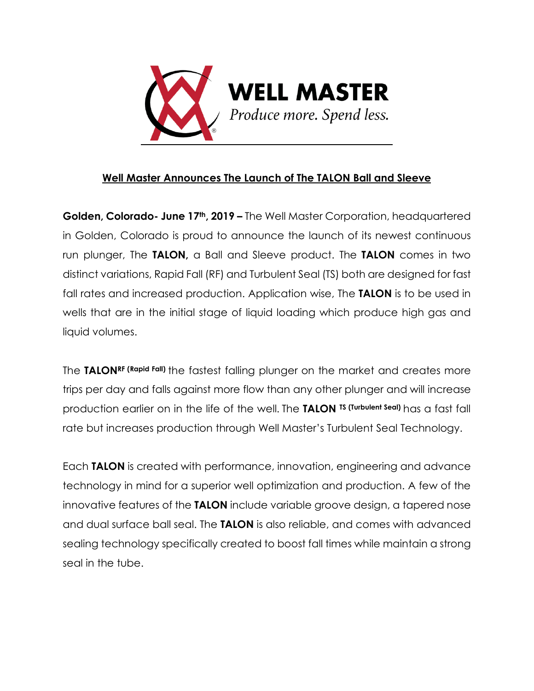

#### **Well Master Announces The Launch of The TALON Ball and Sleeve**

**Golden, Colorado- June 17th, 2019 –** The Well Master Corporation, headquartered in Golden, Colorado is proud to announce the launch of its newest continuous run plunger, The **TALON,** a Ball and Sleeve product. The **TALON** comes in two distinct variations, Rapid Fall (RF) and Turbulent Seal (TS) both are designed for fast fall rates and increased production. Application wise, The **TALON** is to be used in wells that are in the initial stage of liquid loading which produce high gas and liquid volumes.

The **TALONRF (Rapid Fall)** the fastest falling plunger on the market and creates more trips per day and falls against more flow than any other plunger and will increase production earlier on in the life of the well. The **TALON TS (Turbulent Seal)** has a fast fall rate but increases production through Well Master's Turbulent Seal Technology.

Each **TALON** is created with performance, innovation, engineering and advance technology in mind for a superior well optimization and production. A few of the innovative features of the **TALON** include variable groove design, a tapered nose and dual surface ball seal. The **TALON** is also reliable, and comes with advanced sealing technology specifically created to boost fall times while maintain a strong seal in the tube.